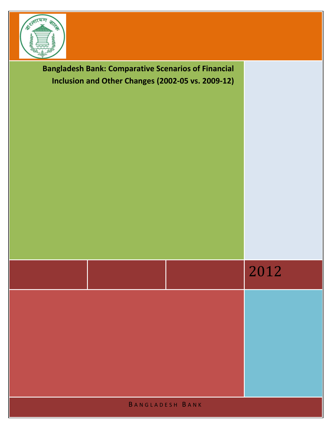

2012 **Bangladesh Bank: Comparative Scenarios of Financial Inclusion and Other Changes (2002-05 vs. 2009-12)**

B A N G L A D E S H B A N K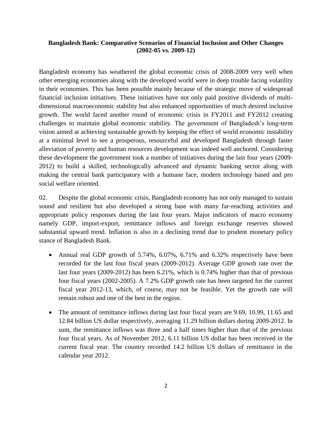## **Bangladesh Bank: Comparative Scenarios of Financial Inclusion and Other Changes (2002-05 vs. 2009-12)**

Bangladesh economy has weathered the global economic crisis of 2008-2009 very well when other emerging economies along with the developed world were in deep trouble facing volatility in their economies. This has been possible mainly because of the strategic move of widespread financial inclusion initiatives. These initiatives have not only paid positive dividends of multidimensional macroeconomic stability but also enhanced opportunities of much desired inclusive growth. The world faced another round of economic crisis in FY2011 and FY2012 creating challenges to maintain global economic stability. The government of Bangladesh's long-term vision aimed at achieving sustainable growth by keeping the effect of world economic instability at a minimal level to see a prosperous, resourceful and developed Bangladesh through faster alleviation of poverty and human resources development was indeed well anchored. Considering these development the government took a number of initiatives during the last four years (2009- 2012) to build a skilled, technologically advanced and dynamic banking sector along with making the central bank participatory with a humane face, modern technology based and pro social welfare oriented.

02. Despite the global economic crisis, Bangladesh economy has not only managed to sustain sound and resilient but also developed a strong base with many far-reaching activities and appropriate policy responses during the last four years. Major indicators of macro economy namely GDP, import-export, remittance inflows and foreign exchange reserves showed substantial upward trend. Inflation is also in a declining trend due to prudent monetary policy stance of Bangladesh Bank.

- Annual real GDP growth of 5.74%, 6.07%, 6.71% and 6.32% respectively have been recorded for the last four fiscal years (2009-2012). Average GDP growth rate over the last four years (2009-2012) has been 6.21%, which is 0.74% higher than that of previous four fiscal years (2002-2005). A 7.2% GDP growth rate has been targeted for the current fiscal year 2012-13, which, of course, may not be feasible. Yet the growth rate will remain robust and one of the best in the region.
- The amount of remittance inflows during last four fiscal years are 9.69, 10.99, 11.65 and 12.84 billion US dollar respectively, averaging 11.29 billion dollars during 2009-2012. In sum, the remittance inflows was three and a half times higher than that of the previous four fiscal years. As of November 2012, 6.11 billion US dollar has been received in the current fiscal year. The country recorded 14.2 billion US dollars of remittance in the calendar year 2012.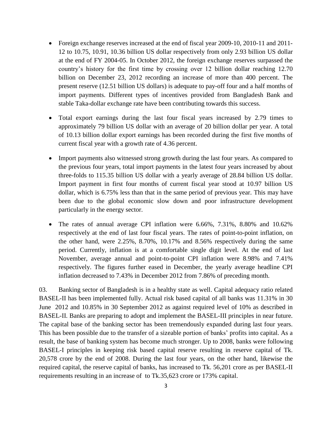- Foreign exchange reserves increased at the end of fiscal year 2009-10, 2010-11 and 2011-12 to 10.75, 10.91, 10.36 billion US dollar respectively from only 2.93 billion US dollar at the end of FY 2004-05. In October 2012, the foreign exchange reserves surpassed the country's history for the first time by crossing over 12 billion dollar reaching 12.70 billion on December 23, 2012 recording an increase of more than 400 percent. The present reserve (12.51 billion US dollars) is adequate to pay-off four and a half months of import payments. Different types of incentives provided from Bangladesh Bank and stable Taka-dollar exchange rate have been contributing towards this success.
- Total export earnings during the last four fiscal years increased by 2.79 times to approximately 79 billion US dollar with an average of 20 billion dollar per year. A total of 10.13 billion dollar export earnings has been recorded during the first five months of current fiscal year with a growth rate of 4.36 percent.
- Import payments also witnessed strong growth during the last four years. As compared to the previous four years, total import payments in the latest four years increased by about three-folds to 115.35 billion US dollar with a yearly average of 28.84 billion US dollar. Import payment in first four months of current fiscal year stood at 10.97 billion US dollar, which is 6.75% less than that in the same period of previous year. This may have been due to the global economic slow down and poor infrastructure development particularly in the energy sector.
- The rates of annual average CPI inflation were 6.66%, 7.31%, 8.80% and 10.62% respectively at the end of last four fiscal years. The rates of point-to-point inflation, on the other hand, were 2.25%, 8.70%, 10.17% and 8.56% respectively during the same period. Currently, inflation is at a comfortable single digit level. At the end of last November, average annual and point-to-point CPI inflation were 8.98% and 7.41% respectively. The figures further eased in December, the yearly average headline CPI inflation decreased to 7.43% in December 2012 from 7.86% of preceding month.

03. Banking sector of Bangladesh is in a healthy state as well. Capital adequacy ratio related BASEL-II has been implemented fully. Actual risk based capital of all banks was 11.31% in 30 June 2012 and 10.85% in 30 September 2012 as against required level of 10% as described in BASEL-II. Banks are preparing to adopt and implement the BASEL-III principles in near future. The capital base of the banking sector has been tremendously expanded during last four years. This has been possible due to the transfer of a sizeable portion of banks' profits into capital. As a result, the base of banking system has become much stronger. Up to 2008, banks were following BASEL-I principles in keeping risk based capital reserve resulting in reserve capital of Tk. 20,578 crore by the end of 2008. During the last four years, on the other hand, likewise the required capital, the reserve capital of banks, has increased to Tk. 56,201 crore as per BASEL-II requirements resulting in an increase of to Tk.35,623 crore or 173% capital.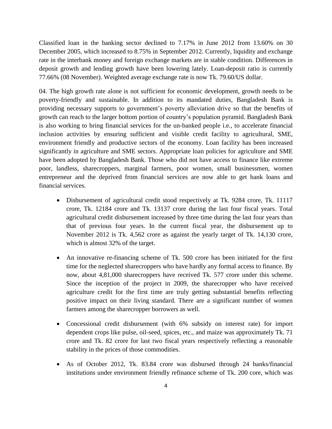Classified loan in the banking sector declined to 7.17% in June 2012 from 13.60% on 30 December 2005, which increased to 8.75% in September 2012. Currently, liquidity and exchange rate in the interbank money and foreign exchange markets are in stable condition. Differences in deposit growth and lending growth have been lowering lately. Loan-deposit ratio is currently 77.66% (08 November). Weighted average exchange rate is now Tk. 79.60/US dollar.

04. The high growth rate alone is not sufficient for economic development, growth needs to be poverty-friendly and sustainable. In addition to its mandated duties, Bangladesh Bank is providing necessary supports to government's poverty alleviation drive so that the benefits of growth can reach to the larger bottom portion of country's population pyramid. Bangladesh Bank is also working to bring financial services for the un-banked people i.e., to accelerate financial inclusion activities by ensuring sufficient and visible credit facility to agricultural, SME, environment friendly and productive sectors of the economy. Loan facility has been increased significantly in agriculture and SME sectors. Appropriate loan policies for agriculture and SME have been adopted by Bangladesh Bank. Those who did not have access to finance like extreme poor, landless, sharecroppers, marginal farmers, poor women, small businessmen, women entrepreneur and the deprived from financial services are now able to get bank loans and financial services.

- Disbursement of agricultural credit stood respectively at Tk. 9284 crore, Tk. 11117 crore, Tk. 12184 crore and Tk. 13137 crore during the last four fiscal years. Total agricultural credit disbursement increased by three time during the last four years than that of previous four years. In the current fiscal year, the disbursement up to November 2012 is Tk. 4,562 crore as against the yearly target of Tk. 14,130 crore, which is almost 32% of the target.
- An innovative re-financing scheme of Tk. 500 crore has been initiated for the first time for the neglected sharecroppers who have hardly any formal access to finance. By now, about 4,81,000 sharecroppers have received Tk. 577 crore under this scheme. Since the inception of the project in 2009, the sharecropper who have received agriculture credit for the first time are truly getting substantial benefits reflecting positive impact on their living standard. There are a significant number of women farmers among the sharecropper borrowers as well.
- Concessional credit disbursement (with 6% subsidy on interest rate) for import dependent crops like pulse, oil-seed, spices, etc., and maize was approximately Tk. 71 crore and Tk. 82 crore for last two fiscal years respectively reflecting a reasonable stability in the prices of those commodities.
- As of October 2012, Tk. 83.84 crore was disbursed through 24 banks/financial institutions under environment friendly refinance scheme of Tk. 200 core, which was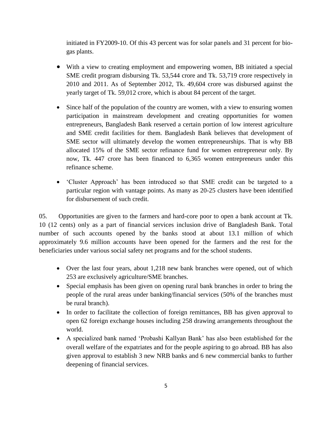initiated in FY2009-10. Of this 43 percent was for solar panels and 31 percent for biogas plants.

- With a view to creating employment and empowering women, BB initiated a special SME credit program disbursing Tk. 53,544 crore and Tk. 53,719 crore respectively in 2010 and 2011. As of September 2012, Tk. 49,604 crore was disbursed against the yearly target of Tk. 59,012 crore, which is about 84 percent of the target.
- Since half of the population of the country are women, with a view to ensuring women participation in mainstream development and creating opportunities for women entrepreneurs, Bangladesh Bank reserved a certain portion of low interest agriculture and SME credit facilities for them. Bangladesh Bank believes that development of SME sector will ultimately develop the women entrepreneurships. That is why BB allocated 15% of the SME sector refinance fund for women entrepreneur only. By now, Tk. 447 crore has been financed to 6,365 women entrepreneurs under this refinance scheme.
- 'Cluster Approach' has been introduced so that SME credit can be targeted to a particular region with vantage points. As many as 20-25 clusters have been identified for disbursement of such credit.

05. Opportunities are given to the farmers and hard-core poor to open a bank account at Tk. 10 (12 cents) only as a part of financial services inclusion drive of Bangladesh Bank. Total number of such accounts opened by the banks stood at about 13.1 million of which approximately 9.6 million accounts have been opened for the farmers and the rest for the beneficiaries under various social safety net programs and for the school students.

- Over the last four years, about 1,218 new bank branches were opened, out of which 253 are exclusively agriculture/SME branches.
- Special emphasis has been given on opening rural bank branches in order to bring the people of the rural areas under banking/financial services (50% of the branches must be rural branch).
- In order to facilitate the collection of foreign remittances, BB has given approval to open 62 foreign exchange houses including 258 drawing arrangements throughout the world.
- A specialized bank named 'Probashi Kallyan Bank' has also been established for the overall welfare of the expatriates and for the people aspiring to go abroad. BB has also given approval to establish 3 new NRB banks and 6 new commercial banks to further deepening of financial services.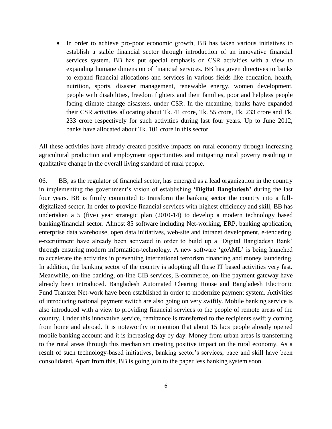In order to achieve pro-poor economic growth, BB has taken various initiatives to establish a stable financial sector through introduction of an innovative financial services system. BB has put special emphasis on CSR activities with a view to expanding humane dimension of financial services. BB has given directives to banks to expand financial allocations and services in various fields like education, health, nutrition, sports, disaster management, renewable energy, women development, people with disabilities, freedom fighters and their families, poor and helpless people facing climate change disasters, under CSR. In the meantime, banks have expanded their CSR activities allocating about Tk. 41 crore, Tk. 55 crore, Tk. 233 crore and Tk. 233 crore respectively for such activities during last four years. Up to June 2012, banks have allocated about Tk. 101 crore in this sector.

All these activities have already created positive impacts on rural economy through increasing agricultural production and employment opportunities and mitigating rural poverty resulting in qualitative change in the overall living standard of rural people.

06. BB, as the regulator of financial sector, has emerged as a lead organization in the country in implementing the government's vision of establishing **'Digital Bangladesh'** during the last four years**.** BB is firmly committed to transform the banking sector the country into a fulldigitalized sector. In order to provide financial services with highest efficiency and skill, BB has undertaken a 5 (five) year strategic plan (2010-14) to develop a modern technology based banking/financial sector. Almost 85 software including Net-working, ERP, banking application, enterprise data warehouse, open data initiatives, web-site and intranet development, e-tendering, e-recruitment have already been activated in order to build up a 'Digital Bangladesh Bank' through ensuring modern information-technology. A new software 'goAML' is being launched to accelerate the activities in preventing international terrorism financing and money laundering. In addition, the banking sector of the country is adopting all these IT based activities very fast. Meanwhile, on-line banking, on-line CIB services, E-commerce, on-line payment gateway have already been introduced. Bangladesh Automated Clearing House and Bangladesh Electronic Fund Transfer Net-work have been established in order to modernize payment system. Activities of introducing national payment switch are also going on very swiftly. Mobile banking service is also introduced with a view to providing financial services to the people of remote areas of the country. Under this innovative service, remittance is transferred to the recipients swiftly coming from home and abroad. It is noteworthy to mention that about 15 lacs people already opened mobile banking account and it is increasing day by day. Money from urban areas is transferring to the rural areas through this mechanism creating positive impact on the rural economy. As a result of such technology-based initiatives, banking sector's services, pace and skill have been consolidated. Apart from this, BB is going join to the paper less banking system soon.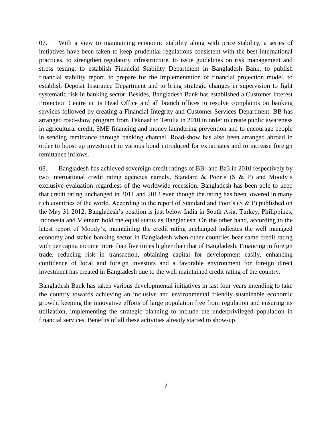07. With a view to maintaining economic stability along with price stability, a series of initiatives have been taken to keep prudential regulations consistent with the best international practices, to strengthen regulatory infrastructure, to issue guidelines on risk management and stress testing, to establish Financial Stability Department in Bangladesh Bank, to publish financial stability report, to prepare for the implementation of financial projection model, to establish Deposit Insurance Department and to bring strategic changes in supervision to fight systematic risk in banking sector. Besides, Bangladesh Bank has established a Customer Interest Protection Centre in its Head Office and all branch offices to resolve complaints on banking services followed by creating a Financial Integrity and Customer Services Department. BB has arranged road-show program from Teknaaf to Tetulia in 2010 in order to create public awareness in agricultural credit, SME financing and money laundering prevention and to encourage people in sending remittance through banking channel. Road-show has also been arranged abroad in order to boost up investment in various bond introduced for expatriates and to increase foreign remittance inflows.

08. Bangladesh has achieved sovereign credit ratings of BB- and Ba3 in 2010 respectively by two international credit rating agencies namely, Standard & Poor's (S & P) and Moody's exclusive evaluation regardless of the worldwide recession. Bangladesh has been able to keep that credit rating unchanged in 2011 and 2012 even though the rating has been lowered in many rich countries of the world. According to the report of Standard and Poor's (S & P) published on the May 31 2012, Bangladesh's position is just below India in South Asia. Turkey, Philippines, Indonesia and Vietnam hold the equal status as Bangladesh. On the other hand, according to the latest report of Moody's, maintaining the credit rating unchanged indicates the well managed economy and stable banking sector in Bangladesh when other countries bear same credit rating with per capita income more than five times higher than that of Bangladesh. Financing in foreign trade, reducing risk in transaction, obtaining capital for development easily, enhancing confidence of local and foreign investors and a favorable environment for foreign direct investment has created in Bangladesh due to the well maintained credit rating of the country.

Bangladesh Bank has taken various developmental initiatives in last four years intending to take the country towards achieving an inclusive and environmental friendly sustainable economic growth, keeping the innovative efforts of large population free from regulation and ensuring its utilization, implementing the strategic planning to include the underprivileged population in financial services. Benefits of all these activities already started to show-up.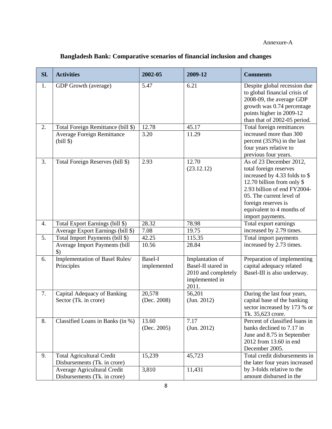## **Bangladesh Bank: Comparative scenarios of financial inclusion and changes**

| Sl. | <b>Activities</b>                                                | 2002-05                | 2009-12                                                                                 | <b>Comments</b>                                                                                                                                                                                                                                     |
|-----|------------------------------------------------------------------|------------------------|-----------------------------------------------------------------------------------------|-----------------------------------------------------------------------------------------------------------------------------------------------------------------------------------------------------------------------------------------------------|
| 1.  | GDP Growth (average)                                             | 5.47                   | 6.21                                                                                    | Despite global recession due<br>to global financial crisis of<br>2008-09, the average GDP<br>growth was 0.74 percentage<br>points higher in 2009-12<br>than that of 2002-05 period.                                                                 |
| 2.  | Total Foreign Remittance (bill \$)                               | 12.78                  | 45.17                                                                                   | Total foreign remittances                                                                                                                                                                                                                           |
|     | <b>Average Foreign Remittance</b><br>$(bill$ \$)                 | 3.20                   | 11.29                                                                                   | increased more than 300<br>percent (353%) in the last<br>four years relative to<br>previous four years.                                                                                                                                             |
| 3.  | Total Foreign Reserves (bill \$)                                 | 2.93                   | 12.70<br>(23.12.12)                                                                     | As of 23 December 2012,<br>total foreign reserves<br>increased by 4.33 folds to \$<br>12.70 billion from only \$<br>2.93 billion of end FY2004-<br>05. The current level of<br>foreign reserves is<br>equivalent to 4 months of<br>import payments. |
| 4.  | Total Export Earnings (bill \$)                                  | 28.32                  | 78.98                                                                                   | Total export earnings                                                                                                                                                                                                                               |
|     | Average Export Earnings (bill \$)                                | 7.08                   | 19.75                                                                                   | increased by 2.79 times.                                                                                                                                                                                                                            |
| 5.  | Total Import Payments (bill \$)                                  | 42.25                  | 115.35                                                                                  | Total import payments                                                                                                                                                                                                                               |
|     | Average Import Payments (bill<br>$\mathcal{S}$                   | 10.56                  | 28.84                                                                                   | increased by 2.73 times.                                                                                                                                                                                                                            |
| 6.  | Implementation of Basel Rules/<br>Principles                     | Basel-I<br>implemented | Implantation of<br>Basel-II stared in<br>2010 and completely<br>implemented in<br>2011. | Preparation of implementing<br>capital adequacy related<br>Basel-III is also underway.                                                                                                                                                              |
| 7.  | Capital Adequacy of Banking<br>Sector (Tk. in crore)             | 20,578<br>(Dec. 2008)  | 56,201<br>(Jun. 2012)                                                                   | During the last four years,<br>capital base of the banking<br>sector increased by 173 % or<br>Tk. 35,623 crore.                                                                                                                                     |
| 8.  | Classified Loans in Banks (in %)                                 | 13.60<br>(Dec. 2005)   | 7.17<br>(Jun. 2012)                                                                     | Percent of classified loans in<br>banks declined to 7.17 in<br>June and 8.75 in September<br>2012 from 13.60 in end<br>December 2005.                                                                                                               |
| 9.  | <b>Total Agricultural Credit</b><br>Disbursements (Tk. in crore) | 15,239                 | 45,723                                                                                  | Total credit disbursements in<br>the later four years increased                                                                                                                                                                                     |
|     | Average Agricultural Credit<br>Disbursements (Tk. in crore)      | 3,810                  | 11,431                                                                                  | by 3-folds relative to the<br>amount disbursed in the                                                                                                                                                                                               |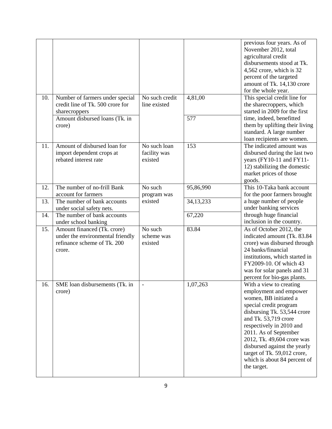| 10. | Number of farmers under special                                                                          | No such credit                          | 4,81,00     | previous four years. As of<br>November 2012, total<br>agricultural credit<br>disbursements stood at Tk.<br>4,562 crore, which is 32<br>percent of the targeted<br>amount of Tk. 14,130 crore<br>for the whole year.<br>This special credit line for                                                                                                          |
|-----|----------------------------------------------------------------------------------------------------------|-----------------------------------------|-------------|--------------------------------------------------------------------------------------------------------------------------------------------------------------------------------------------------------------------------------------------------------------------------------------------------------------------------------------------------------------|
|     | credit line of Tk. 500 crore for<br>sharecroppers                                                        | line existed                            |             | the sharecroppers, which<br>started in 2009 for the first<br>time, indeed, benefitted<br>them by uplifting their living<br>standard. A large number<br>loan recipients are women.                                                                                                                                                                            |
|     | Amount disbursed loans (Tk. in<br>crore)                                                                 |                                         | 577         |                                                                                                                                                                                                                                                                                                                                                              |
| 11. | Amount of disbursed loan for<br>import dependent crops at<br>rebated interest rate                       | No such loan<br>facility was<br>existed | 153         | The indicated amount was<br>disbursed during the last two<br>years (FY10-11 and FY11-<br>12) stabilizing the domestic<br>market prices of those<br>goods.                                                                                                                                                                                                    |
| 12. | The number of no-frill Bank<br>account for farmers                                                       | No such<br>program was                  | 95,86,990   | This 10-Taka bank account<br>for the poor farmers brought                                                                                                                                                                                                                                                                                                    |
| 13. | The number of bank accounts<br>under social safety nets.                                                 | existed                                 | 34, 13, 233 | a huge number of people<br>under banking services                                                                                                                                                                                                                                                                                                            |
| 14. | The number of bank accounts<br>under school banking                                                      |                                         | 67,220      | through huge financial<br>inclusion in the country.                                                                                                                                                                                                                                                                                                          |
| 15. | Amount financed (Tk. crore)<br>under the environmental friendly<br>refinance scheme of Tk. 200<br>crore. | No such<br>scheme was<br>existed        | 83.84       | As of October 2012, the<br>indicated amount (Tk. 83.84<br>crore) was disbursed through<br>24 banks/financial<br>institutions, which started in<br>FY2009-10. Of which 43<br>was for solar panels and 31<br>percent for bio-gas plants.                                                                                                                       |
| 16. | SME loan disbursements (Tk. in<br>crore)                                                                 |                                         | 1,07,263    | With a view to creating<br>employment and empower<br>women, BB initiated a<br>special credit program<br>disbursing Tk. 53,544 crore<br>and Tk. 53,719 crore<br>respectively in 2010 and<br>2011. As of September<br>2012, Tk. 49,604 crore was<br>disbursed against the yearly<br>target of Tk. 59,012 crore,<br>which is about 84 percent of<br>the target. |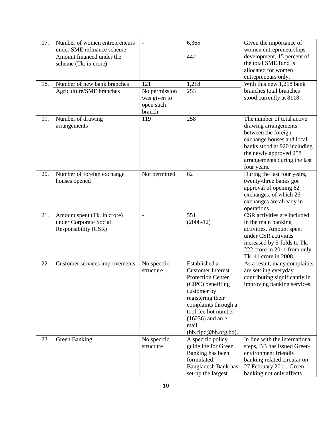| 17. | Number of women entrepreneurs  |                          | 6,365                                   | Given the importance of                             |
|-----|--------------------------------|--------------------------|-----------------------------------------|-----------------------------------------------------|
|     | under SME refinance scheme     |                          |                                         | women entrepreneurships                             |
|     | Amount financed under the      |                          | 447                                     | development, 15 percent of                          |
|     | scheme (Tk. in crore)          |                          |                                         | the total SME fund is                               |
|     |                                |                          |                                         | allocated for women                                 |
|     |                                |                          |                                         | entrepreneurs only.                                 |
| 18. | Number of new bank branches    | 121                      | 1,218                                   | With this new 1,218 bank                            |
|     | Agriculture/SME branches       | No permission            | 253                                     | branches total branches                             |
|     |                                | was given to             |                                         | stood currently at 8118.                            |
|     |                                | open such                |                                         |                                                     |
|     |                                | branch                   |                                         |                                                     |
| 19. | Number of drawing              | 119                      | 258                                     | The number of total active                          |
|     | arrangements                   |                          |                                         | drawing arrangements                                |
|     |                                |                          |                                         | between the foreign                                 |
|     |                                |                          |                                         | exchange houses and local                           |
|     |                                |                          |                                         | banks stood at 920 including                        |
|     |                                |                          |                                         | the newly approved 258                              |
|     |                                |                          |                                         | arrangements during the last                        |
|     |                                |                          |                                         | four years.                                         |
| 20. | Number of foreign exchange     | Not permitted            | 62                                      | During the last four years,                         |
|     | houses opened                  |                          |                                         | twenty-three banks got                              |
|     |                                |                          |                                         | approval of opening 62                              |
|     |                                |                          |                                         | exchanges, of which 26                              |
|     |                                |                          |                                         | exchanges are already in                            |
|     |                                |                          |                                         | operations.                                         |
| 21. | Amount spent (Tk. in crore)    | $\overline{\phantom{0}}$ | 551                                     | CSR activities are included                         |
|     | under Corporate Social         |                          | $(2008-12)$                             | in the main banking                                 |
|     | Responsibility (CSR)           |                          |                                         | activities. Amount spent                            |
|     |                                |                          |                                         | under CSR activities                                |
|     |                                |                          |                                         | increased by 5-folds to Tk.                         |
|     |                                |                          |                                         | 222 crore in 2011 from only                         |
|     |                                |                          |                                         | Tk. 41 crore in 2008.                               |
| 22. | Customer services improvements | No specific              | Established a                           | As a result, many complaints                        |
|     |                                | structure                | <b>Customer Interest</b>                | are settling everyday                               |
|     |                                |                          | <b>Protection Center</b>                | contributing significantly in                       |
|     |                                |                          | (CIPC) benefiting                       | improving banking services.                         |
|     |                                |                          | customer by                             |                                                     |
|     |                                |                          | registering their                       |                                                     |
|     |                                |                          | complaints through a                    |                                                     |
|     |                                |                          | tool-fee hot number                     |                                                     |
|     |                                |                          | $(16236)$ and an e-                     |                                                     |
|     |                                |                          | mail                                    |                                                     |
|     |                                |                          | ( <b>bb.cipc@bb.org.bd</b> ).           |                                                     |
| 23. | <b>Green Banking</b>           | No specific              | A specific policy                       | In line with the international                      |
|     |                                | structure                | guideline for Green<br>Banking has been | steps, BB has issued Green/                         |
|     |                                |                          | formulated.                             | environment friendly                                |
|     |                                |                          |                                         | banking related circular on                         |
|     |                                |                          | Bangladesh Bank has                     | 27 February 2011. Green<br>banking not only affects |
|     |                                |                          | set-up the largest                      |                                                     |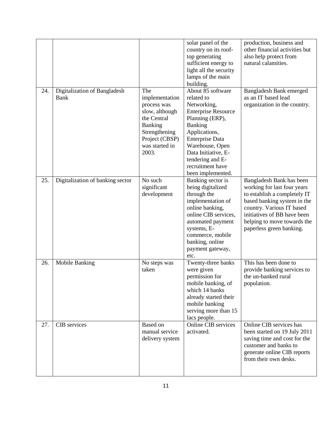|     |                                             |                                                                                                                                                | solar panel of the<br>country on its roof-<br>top generating<br>sufficient energy to<br>light all the security<br>lamps of the main<br>building.                                                                                                      | production, business and<br>other financial activities but<br>also help protect from<br>natural calamities.                                                                                                                                   |
|-----|---------------------------------------------|------------------------------------------------------------------------------------------------------------------------------------------------|-------------------------------------------------------------------------------------------------------------------------------------------------------------------------------------------------------------------------------------------------------|-----------------------------------------------------------------------------------------------------------------------------------------------------------------------------------------------------------------------------------------------|
| 24. | Digitalization of Bangladesh<br><b>Bank</b> | The<br>implementation<br>process was<br>slow, although<br>the Central<br>Banking<br>Strengthening<br>Project (CBSP)<br>was started in<br>2003. | About 85 software<br>related to<br>Networking,<br><b>Enterprise Resource</b><br>Planning (ERP),<br>Banking<br>Applications,<br>Enterprise Data<br>Warehouse, Open<br>Data Initiative, E-<br>tendering and E-<br>recruitment have<br>been implemented. | <b>Bangladesh Bank emerged</b><br>as an IT based lead<br>organization in the country.                                                                                                                                                         |
| 25. | Digitalization of banking sector            | No such<br>significant<br>development                                                                                                          | Banking sector is<br>being digitalized<br>through the<br>implementation of<br>online banking,<br>online CIB services,<br>automated payment<br>systems, E-<br>commerce, mobile<br>banking, online<br>payment gateway,<br>etc.                          | Bangladesh Bank has been<br>working for last four years<br>to establish a completely IT<br>based banking system in the<br>country. Various IT based<br>initiatives of BB have been<br>helping to move towards the<br>paperless green banking. |
| 26. | <b>Mobile Banking</b>                       | No steps was<br>taken                                                                                                                          | Twenty-three banks<br>were given<br>permission for<br>mobile banking, of<br>which 14 banks<br>already started their<br>mobile banking<br>serving more than 15<br>lacs people.                                                                         | This has been done to<br>provide banking services to<br>the un-banked rural<br>population.                                                                                                                                                    |
| 27. | CIB services                                | Based on<br>manual service<br>delivery system                                                                                                  | Online CIB services<br>activated.                                                                                                                                                                                                                     | Online CIB services has<br>been started on 19 July 2011<br>saving time and cost for the<br>customer and banks to<br>generate online CIB reports<br>from their own desks.                                                                      |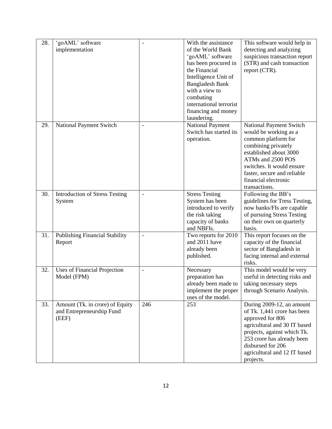| 28. | 'goAML' software                                             | $\overline{\phantom{0}}$     | With the assistance                      | This software would help in                              |
|-----|--------------------------------------------------------------|------------------------------|------------------------------------------|----------------------------------------------------------|
|     | implementation                                               |                              | of the World Bank                        | detecting and analyzing                                  |
|     |                                                              |                              | 'goAML' software                         | suspicious transaction report                            |
|     |                                                              |                              | has been procured in                     | (STR) and cash transaction                               |
|     |                                                              |                              | the Financial                            | report (CTR).                                            |
|     |                                                              |                              | Intelligence Unit of                     |                                                          |
|     |                                                              |                              | <b>Bangladesh Bank</b><br>with a view to |                                                          |
|     |                                                              |                              | combating                                |                                                          |
|     |                                                              |                              | international terrorist                  |                                                          |
|     |                                                              |                              | financing and money                      |                                                          |
|     |                                                              |                              | laundering.                              |                                                          |
| 29. | National Payment Switch                                      | $\qquad \qquad -$            | <b>National Payment</b>                  | National Payment Switch                                  |
|     |                                                              |                              | Switch has started its                   | would be working as a                                    |
|     |                                                              |                              | operation.                               | common platform for                                      |
|     |                                                              |                              |                                          | combining privately                                      |
|     |                                                              |                              |                                          | established about 3000                                   |
|     |                                                              |                              |                                          | ATMs and 2500 POS                                        |
|     |                                                              |                              |                                          | switches. It would ensure                                |
|     |                                                              |                              |                                          | faster, secure and reliable                              |
|     |                                                              |                              |                                          | financial electronic                                     |
|     |                                                              |                              |                                          | transactions.                                            |
| 30. | <b>Introduction of Stress Testing</b>                        | $\qquad \qquad \blacksquare$ | <b>Stress Testing</b>                    | Following the BB's                                       |
|     | System                                                       |                              | System has been                          | guidelines for Tress Testing,                            |
|     |                                                              |                              | introduced to verify                     | now banks/FIs are capable                                |
|     |                                                              |                              | the risk taking<br>capacity of banks     | of pursuing Stress Testing<br>on their own on quarterly  |
|     |                                                              |                              | and NBFIs.                               | basis.                                                   |
| 31. | <b>Publishing Financial Stability</b>                        | $\overline{a}$               | Two reports for 2010                     | This report focuses on the                               |
|     | Report                                                       |                              | and 2011 have                            | capacity of the financial                                |
|     |                                                              |                              | already been                             | sector of Bangladesh in                                  |
|     |                                                              |                              | published.                               | facing internal and external                             |
|     |                                                              |                              |                                          | risks.                                                   |
| 32. | <b>Uses of Financial Projection</b>                          | $\qquad \qquad -$            | Necessary                                | This model would be very                                 |
|     | Model (FPM)                                                  |                              | preparation has                          | useful in detecting risks and                            |
|     |                                                              |                              | already been made to                     | taking necessary steps                                   |
|     |                                                              |                              | implement the proper                     | through Scenario Analysis.                               |
|     |                                                              | 246                          | uses of the model.                       |                                                          |
| 33. | Amount (Tk. in crore) of Equity<br>and Entrepreneurship Fund |                              | 253                                      | During 2009-12, an amount<br>of Tk. 1,441 crore has been |
|     | (EEF)                                                        |                              |                                          | approved for 806                                         |
|     |                                                              |                              |                                          | agricultural and 30 IT based                             |
|     |                                                              |                              |                                          | projects, against which Tk.                              |
|     |                                                              |                              |                                          | 253 crore has already been                               |
|     |                                                              |                              |                                          | disbursed for 206                                        |
|     |                                                              |                              |                                          | agricultural and 12 IT based                             |
|     |                                                              |                              |                                          | projects.                                                |